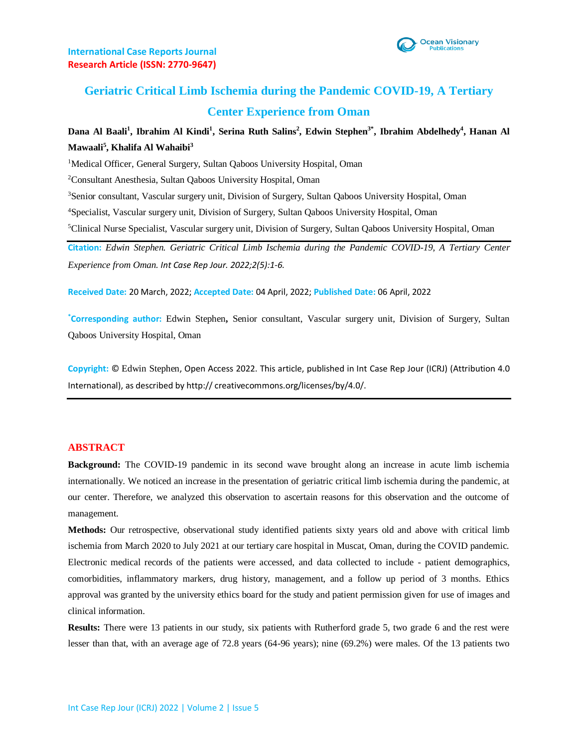

# **Geriatric Critical Limb Ischemia during the Pandemic COVID-19, A Tertiary Center Experience from Oman**

## **Dana Al Baali<sup>1</sup> , Ibrahim Al Kindi<sup>1</sup> , Serina Ruth Salins<sup>2</sup> , Edwin Stephen3\* , Ibrahim Abdelhedy<sup>4</sup> , Hanan Al Mawaali<sup>5</sup> , Khalifa Al Wahaibi<sup>3</sup>**

<sup>1</sup>Medical Officer, General Surgery, Sultan Qaboos University Hospital, Oman

<sup>2</sup>Consultant Anesthesia, Sultan Qaboos University Hospital, Oman

<sup>3</sup>Senior consultant, Vascular surgery unit, Division of Surgery, Sultan Qaboos University Hospital, Oman

<sup>4</sup>Specialist, Vascular surgery unit, Division of Surgery, Sultan Qaboos University Hospital, Oman

<sup>5</sup>Clinical Nurse Specialist, Vascular surgery unit, Division of Surgery, Sultan Qaboos University Hospital, Oman

**Citation:** *Edwin Stephen. Geriatric Critical Limb Ischemia during the Pandemic COVID-19, A Tertiary Center Experience from Oman. Int Case Rep Jour. 2022;2(5):1-6.*

**Received Date:** 20 March, 2022; **Accepted Date:** 04 April, 2022; **Published Date:** 06 April, 2022

**\*Corresponding author:** Edwin Stephen**,** Senior consultant, Vascular surgery unit, Division of Surgery, Sultan Qaboos University Hospital, Oman

**Copyright:** © Edwin Stephen, Open Access 2022. This article, published in Int Case Rep Jour (ICRJ) (Attribution 4.0 International), as described by http:// creativecommons.org/licenses/by/4.0/.

#### **ABSTRACT**

**Background:** The COVID-19 pandemic in its second wave brought along an increase in acute limb ischemia internationally. We noticed an increase in the presentation of geriatric critical limb ischemia during the pandemic, at our center. Therefore, we analyzed this observation to ascertain reasons for this observation and the outcome of management.

**Methods:** Our retrospective, observational study identified patients sixty years old and above with critical limb ischemia from March 2020 to July 2021 at our tertiary care hospital in Muscat, Oman, during the COVID pandemic. Electronic medical records of the patients were accessed, and data collected to include - patient demographics, comorbidities, inflammatory markers, drug history, management, and a follow up period of 3 months. Ethics approval was granted by the university ethics board for the study and patient permission given for use of images and clinical information.

**Results:** There were 13 patients in our study, six patients with Rutherford grade 5, two grade 6 and the rest were lesser than that, with an average age of 72.8 years (64-96 years); nine (69.2%) were males. Of the 13 patients two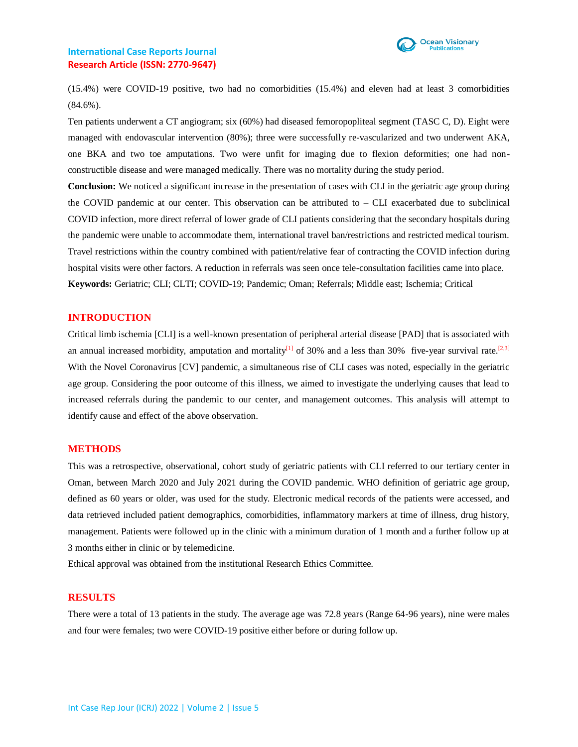

(15.4%) were COVID-19 positive, two had no comorbidities (15.4%) and eleven had at least 3 comorbidities (84.6%).

Ten patients underwent a CT angiogram; six (60%) had diseased femoropopliteal segment (TASC C, D). Eight were managed with endovascular intervention (80%); three were successfully re-vascularized and two underwent AKA, one BKA and two toe amputations. Two were unfit for imaging due to flexion deformities; one had nonconstructible disease and were managed medically. There was no mortality during the study period.

**Conclusion:** We noticed a significant increase in the presentation of cases with CLI in the geriatric age group during the COVID pandemic at our center. This observation can be attributed to  $-$  CLI exacerbated due to subclinical COVID infection, more direct referral of lower grade of CLI patients considering that the secondary hospitals during the pandemic were unable to accommodate them, international travel ban/restrictions and restricted medical tourism. Travel restrictions within the country combined with patient/relative fear of contracting the COVID infection during hospital visits were other factors. A reduction in referrals was seen once tele-consultation facilities came into place. **Keywords:** Geriatric; CLI; CLTI; COVID-19; Pandemic; Oman; Referrals; Middle east; Ischemia; Critical

#### **INTRODUCTION**

Critical limb ischemia [CLI] is a well-known presentation of peripheral arterial disease [PAD] that is associated with an annual increased morbidity, amputation and mortality<sup>[1]</sup> of 30% and a less than 30% five-year survival rate.<sup>[2,3]</sup> With the Novel Coronavirus [CV] pandemic, a simultaneous rise of CLI cases was noted, especially in the geriatric age group. Considering the poor outcome of this illness, we aimed to investigate the underlying causes that lead to increased referrals during the pandemic to our center, and management outcomes. This analysis will attempt to identify cause and effect of the above observation.

## **METHODS**

This was a retrospective, observational, cohort study of geriatric patients with CLI referred to our tertiary center in Oman, between March 2020 and July 2021 during the COVID pandemic. WHO definition of geriatric age group, defined as 60 years or older, was used for the study. Electronic medical records of the patients were accessed, and data retrieved included patient demographics, comorbidities, inflammatory markers at time of illness, drug history, management. Patients were followed up in the clinic with a minimum duration of 1 month and a further follow up at 3 months either in clinic or by telemedicine.

Ethical approval was obtained from the institutional Research Ethics Committee.

### **RESULTS**

There were a total of 13 patients in the study. The average age was 72.8 years (Range 64-96 years), nine were males and four were females; two were COVID-19 positive either before or during follow up.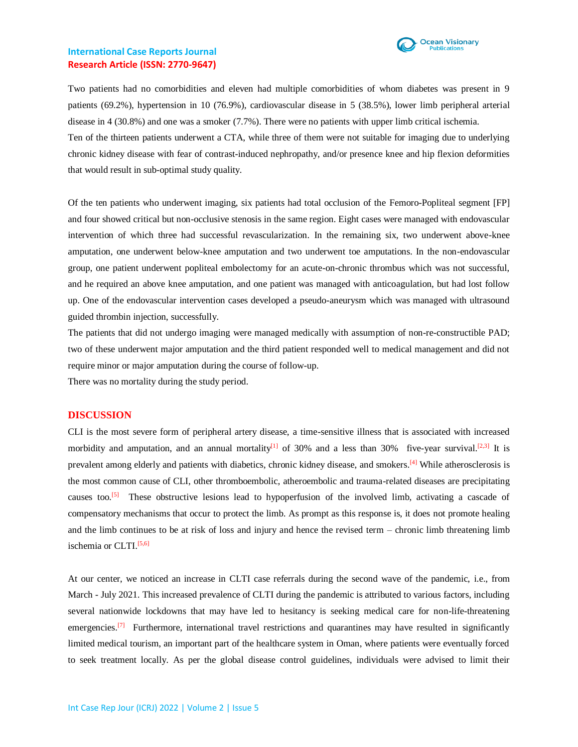

Two patients had no comorbidities and eleven had multiple comorbidities of whom diabetes was present in 9 patients (69.2%), hypertension in 10 (76.9%), cardiovascular disease in 5 (38.5%), lower limb peripheral arterial disease in 4 (30.8%) and one was a smoker (7.7%). There were no patients with upper limb critical ischemia.

Ten of the thirteen patients underwent a CTA, while three of them were not suitable for imaging due to underlying chronic kidney disease with fear of contrast-induced nephropathy, and/or presence knee and hip flexion deformities that would result in sub-optimal study quality.

Of the ten patients who underwent imaging, six patients had total occlusion of the Femoro-Popliteal segment [FP] and four showed critical but non-occlusive stenosis in the same region. Eight cases were managed with endovascular intervention of which three had successful revascularization. In the remaining six, two underwent above-knee amputation, one underwent below-knee amputation and two underwent toe amputations. In the non-endovascular group, one patient underwent popliteal embolectomy for an acute-on-chronic thrombus which was not successful, and he required an above knee amputation, and one patient was managed with anticoagulation, but had lost follow up. One of the endovascular intervention cases developed a pseudo-aneurysm which was managed with ultrasound guided thrombin injection, successfully.

The patients that did not undergo imaging were managed medically with assumption of non-re-constructible PAD; two of these underwent major amputation and the third patient responded well to medical management and did not require minor or major amputation during the course of follow-up.

There was no mortality during the study period.

#### **DISCUSSION**

CLI is the most severe form of peripheral artery disease, a time-sensitive illness that is associated with increased morbidity and amputation, and an annual mortality<sup>[1]</sup> of 30% and a less than 30% five-year survival.<sup>[2,3]</sup> It is prevalent among elderly and patients with diabetics, chronic kidney disease, and smokers.<sup>[4]</sup> While atherosclerosis is the most common cause of CLI, other thromboembolic, atheroembolic and trauma-related diseases are precipitating causes too.<sup>[5]</sup> These obstructive lesions lead to hypoperfusion of the involved limb, activating a cascade of compensatory mechanisms that occur to protect the limb. As prompt as this response is, it does not promote healing and the limb continues to be at risk of loss and injury and hence the revised term – chronic limb threatening limb ischemia or CLTI.<sup>[5,6]</sup>

At our center, we noticed an increase in CLTI case referrals during the second wave of the pandemic, i.e., from March - July 2021. This increased prevalence of CLTI during the pandemic is attributed to various factors, including several nationwide lockdowns that may have led to hesitancy is seeking medical care for non-life-threatening emergencies.<sup>[7]</sup> Furthermore, international travel restrictions and quarantines may have resulted in significantly limited medical tourism, an important part of the healthcare system in Oman, where patients were eventually forced to seek treatment locally. As per the global disease control guidelines, individuals were advised to limit their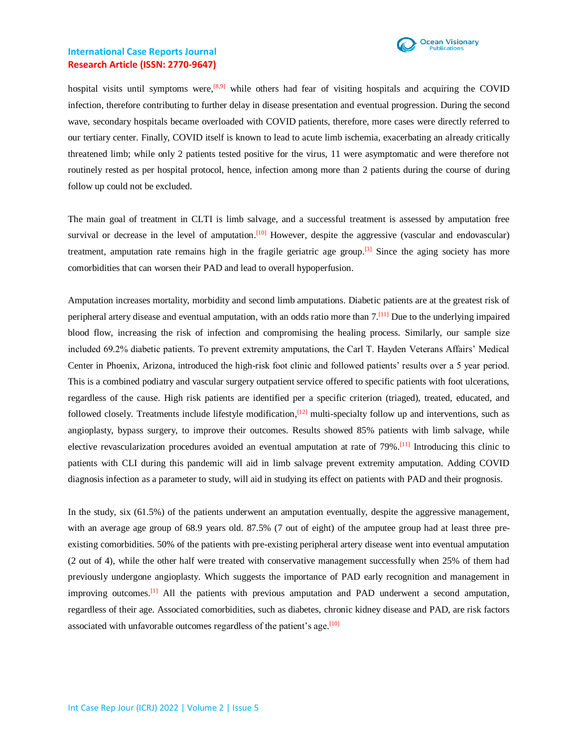

hospital visits until symptoms were,<sup>[8,9]</sup> while others had fear of visiting hospitals and acquiring the COVID infection, therefore contributing to further delay in disease presentation and eventual progression. During the second wave, secondary hospitals became overloaded with COVID patients, therefore, more cases were directly referred to our tertiary center. Finally, COVID itself is known to lead to acute limb ischemia, exacerbating an already critically threatened limb; while only 2 patients tested positive for the virus, 11 were asymptomatic and were therefore not routinely rested as per hospital protocol, hence, infection among more than 2 patients during the course of during follow up could not be excluded.

The main goal of treatment in CLTI is limb salvage, and a successful treatment is assessed by amputation free survival or decrease in the level of amputation.<sup>[10]</sup> However, despite the aggressive (vascular and endovascular) treatment, amputation rate remains high in the fragile geriatric age group.<sup>[3]</sup> Since the aging society has more comorbidities that can worsen their PAD and lead to overall hypoperfusion.

Amputation increases mortality, morbidity and second limb amputations. Diabetic patients are at the greatest risk of peripheral artery disease and eventual amputation, with an odds ratio more than 7.<sup>[11]</sup> Due to the underlying impaired blood flow, increasing the risk of infection and compromising the healing process. Similarly, our sample size included 69.2% diabetic patients. To prevent extremity amputations, the Carl T. Hayden Veterans Affairs' Medical Center in Phoenix, Arizona, introduced the high-risk foot clinic and followed patients' results over a 5 year period. This is a combined podiatry and vascular surgery outpatient service offered to specific patients with foot ulcerations, regardless of the cause. High risk patients are identified per a specific criterion (triaged), treated, educated, and followed closely. Treatments include lifestyle modification, <sup>[12]</sup> multi-specialty follow up and interventions, such as angioplasty, bypass surgery, to improve their outcomes. Results showed 85% patients with limb salvage, while elective revascularization procedures avoided an eventual amputation at rate of 79%.<sup>[11]</sup> Introducing this clinic to patients with CLI during this pandemic will aid in limb salvage prevent extremity amputation. Adding COVID diagnosis infection as a parameter to study, will aid in studying its effect on patients with PAD and their prognosis.

In the study, six (61.5%) of the patients underwent an amputation eventually, despite the aggressive management, with an average age group of 68.9 years old. 87.5% (7 out of eight) of the amputee group had at least three preexisting comorbidities. 50% of the patients with pre-existing peripheral artery disease went into eventual amputation (2 out of 4), while the other half were treated with conservative management successfully when 25% of them had previously undergone angioplasty. Which suggests the importance of PAD early recognition and management in improving outcomes.<sup>[1]</sup> All the patients with previous amputation and PAD underwent a second amputation, regardless of their age. Associated comorbidities, such as diabetes, chronic kidney disease and PAD, are risk factors associated with unfavorable outcomes regardless of the patient's age.<sup>[10]</sup>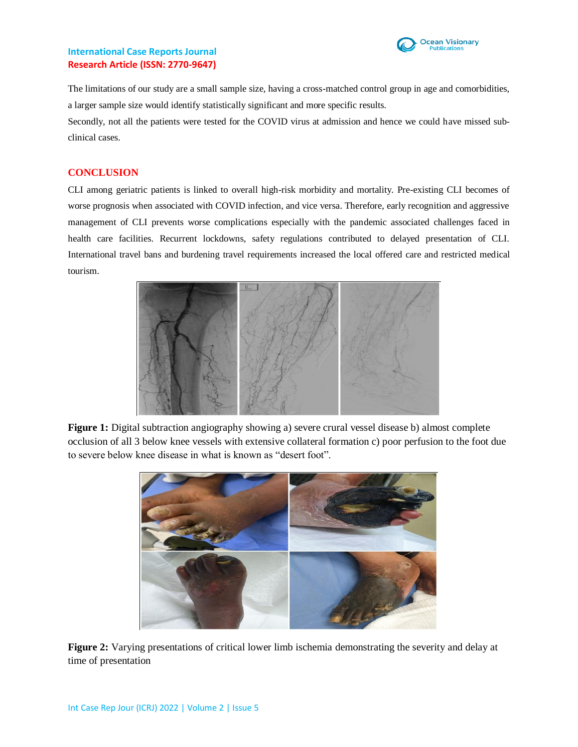

The limitations of our study are a small sample size, having a cross-matched control group in age and comorbidities, a larger sample size would identify statistically significant and more specific results.

Secondly, not all the patients were tested for the COVID virus at admission and hence we could have missed subclinical cases.

## **CONCLUSION**

CLI among geriatric patients is linked to overall high-risk morbidity and mortality. Pre-existing CLI becomes of worse prognosis when associated with COVID infection, and vice versa. Therefore, early recognition and aggressive management of CLI prevents worse complications especially with the pandemic associated challenges faced in health care facilities. Recurrent lockdowns, safety regulations contributed to delayed presentation of CLI. International travel bans and burdening travel requirements increased the local offered care and restricted medical tourism.



**Figure 1:** Digital subtraction angiography showing a) severe crural vessel disease b) almost complete occlusion of all 3 below knee vessels with extensive collateral formation c) poor perfusion to the foot due to severe below knee disease in what is known as "desert foot".



**Figure 2:** Varying presentations of critical lower limb ischemia demonstrating the severity and delay at time of presentation